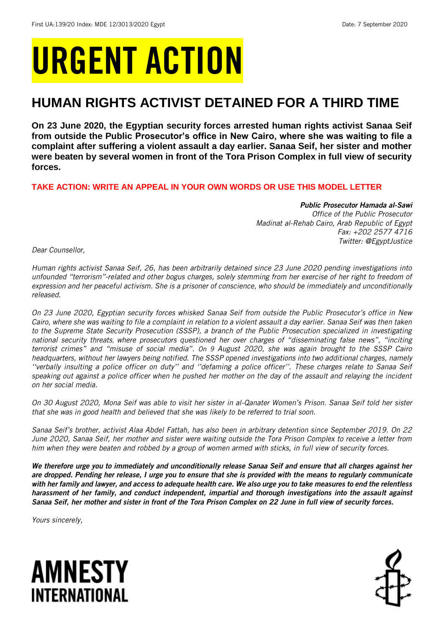# URGENT ACTION

## **HUMAN RIGHTS ACTIVIST DETAINED FOR A THIRD TIME**

**On 23 June 2020, the Egyptian security forces arrested human rights activist Sanaa Seif from outside the Public Prosecutor's office in New Cairo, where she was waiting to file a complaint after suffering a violent assault a day earlier. Sanaa Seif, her sister and mother were beaten by several women in front of the Tora Prison Complex in full view of security forces.**

**TAKE ACTION: WRITE AN APPEAL IN YOUR OWN WORDS OR USE THIS MODEL LETTER**

## *Public Prosecutor Hamada al-Sawi*

*Office of the Public Prosecutor Madinat al-Rehab Cairo, Arab Republic of Egypt Fax: +202 2577 4716 Twitter: @EgyptJustice*

*Dear Counsellor,*

*Human rights activist Sanaa Seif, 26, has been arbitrarily detained since 23 June 2020 pending investigations into unfounded "terrorism"-related and other bogus charges, solely stemming from her exercise of her right to freedom of expression and her peaceful activism. She is a prisoner of conscience, who should be immediately and unconditionally released.* 

*On 23 June 2020, Egyptian security forces whisked Sanaa Seif from outside the Public Prosecutor's office in New Cairo, where she was waiting to file a complaint in relation to a violent assault a day earlier. Sanaa Seif was then taken to the Supreme State Security Prosecution (SSSP), a branch of the Public Prosecution specialized in investigating national security threats*, *where prosecutors questioned her over charges of "disseminating false news", "inciting terrorist crimes" and "misuse of social media". On 9 August 2020, she was again brought to the SSSP Cairo headquarters, without her lawyers being notified. The SSSP opened investigations into two additional charges, namely ''verbally insulting a police officer on duty'' and ''defaming a police officer''. These charges relate to Sanaa Seif speaking out against a police officer when he pushed her mother on the day of the assault and relaying the incident on her social media.*

*On 30 August 2020, Mona Seif was able to visit her sister in al-Qanater Women's Prison. Sanaa Seif told her sister that she was in good health and believed that she was likely to be referred to trial soon.*

*Sanaa Seif's brother, activist Alaa Abdel Fattah, has also been in arbitrary detention since September 2019. On 22 June 2020, Sanaa Seif, her mother and sister were waiting outside the Tora Prison Complex to receive a letter from him when they were beaten and robbed by a group of women armed with sticks, in full view of security forces.*

*We therefore urge you to immediately and unconditionally release Sanaa Seif and ensure that all charges against her are dropped. Pending her release, I urge you to ensure that she is provided with the means to regularly communicate with her family and lawyer, and access to adequate health care. We also urge you to take measures to end the relentless harassment of her family, and conduct independent, impartial and thorough investigations into the assault against Sanaa Seif, her mother and sister in front of the Tora Prison Complex on 22 June in full view of security forces.* 

*Yours sincerely,*